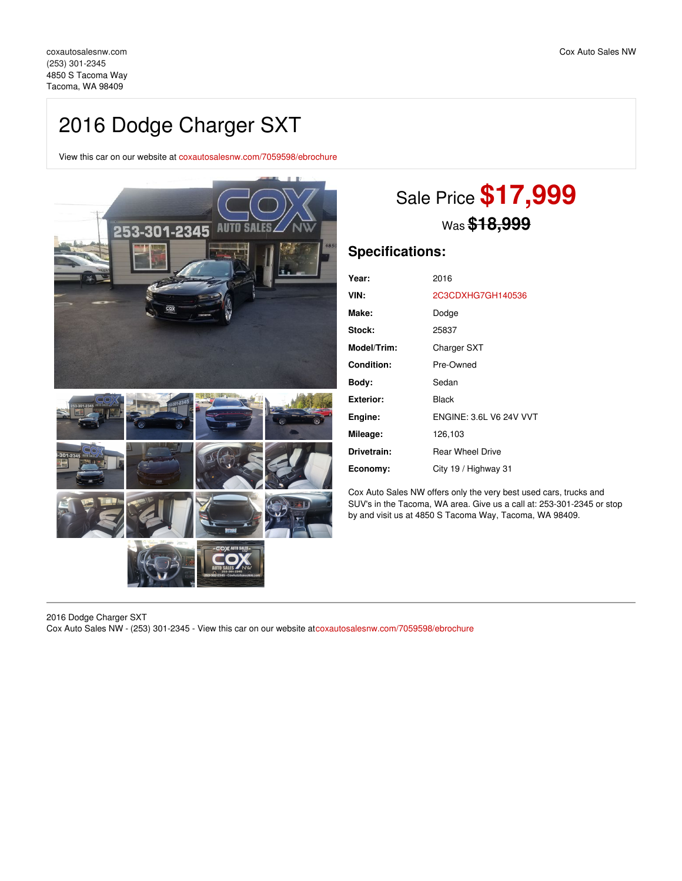## 2016 Dodge Charger SXT

View this car on our website at [coxautosalesnw.com/7059598/ebrochure](https://coxautosalesnw.com/vehicle/7059598/2016-dodge-charger-sxt-tacoma-wa-98409/7059598/ebrochure)



# Sale Price **\$17,999** Was **\$18,999**

## **Specifications:**

| Year:             | 2016                           |
|-------------------|--------------------------------|
| VIN:              | 2C3CDXHG7GH140536              |
| Make:             | Dodge                          |
| Stock:            | 25837                          |
| Model/Trim:       | <b>Charger SXT</b>             |
| <b>Condition:</b> | Pre-Owned                      |
| Body:             | Sedan                          |
| Exterior:         | <b>Black</b>                   |
| Engine:           | <b>FNGINE: 3.6L V6 24V VVT</b> |
| Mileage:          | 126,103                        |
| Drivetrain:       | <b>Rear Wheel Drive</b>        |
| Economy:          | City 19 / Highway 31           |
|                   |                                |

Cox Auto Sales NW offers only the very best used cars, trucks and SUV's in the Tacoma, WA area. Give us a call at: 253-301-2345 or stop by and visit us at 4850 S Tacoma Way, Tacoma, WA 98409.

2016 Dodge Charger SXT Cox Auto Sales NW - (253) 301-2345 - View this car on our website at[coxautosalesnw.com/7059598/ebrochure](https://coxautosalesnw.com/vehicle/7059598/2016-dodge-charger-sxt-tacoma-wa-98409/7059598/ebrochure)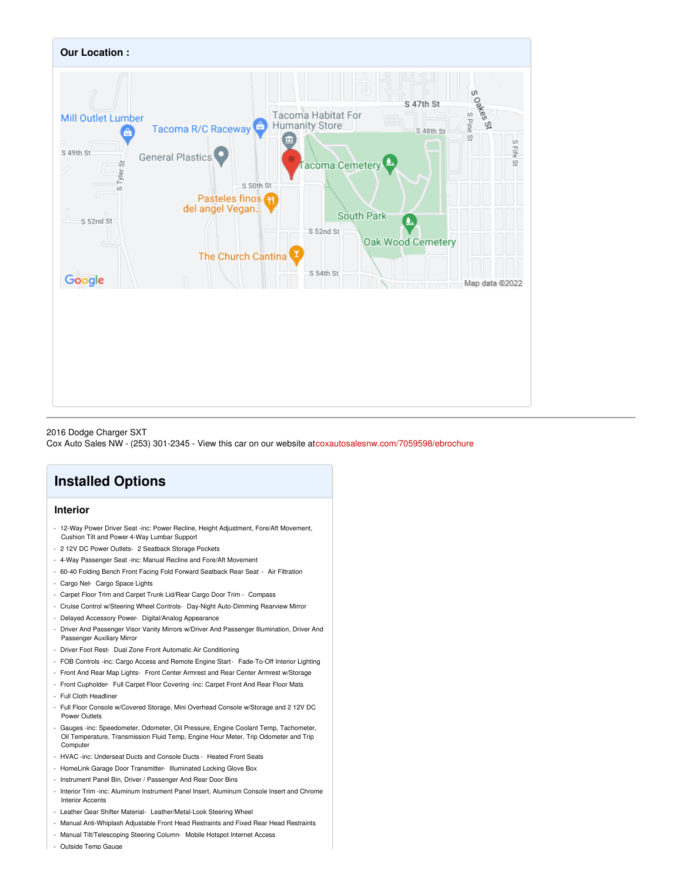

#### 2016 Dodge Charger SXT

Cox Auto Sales NW - (253) 301-2345 - View this car on our website at[coxautosalesnw.com/7059598/ebrochure](https://coxautosalesnw.com/vehicle/7059598/2016-dodge-charger-sxt-tacoma-wa-98409/7059598/ebrochure)

## **Installed Options**

### **Interior**

- 12-Way Power Driver Seat -inc: Power Recline, Height Adjustment, Fore/Aft Movement, Cushion Tilt and Power 4-Way Lumbar Support
- 2 12V DC Power Outlets- 2 Seatback Storage Pockets
- 4-Way Passenger Seat -inc: Manual Recline and Fore/Aft Movement
- 60-40 Folding Bench Front Facing Fold Forward Seatback Rear Seat Air Filtration
- Cargo Net- Cargo Space Lights
- Carpet Floor Trim and Carpet Trunk Lid/Rear Cargo Door Trim Compass
- Cruise Control w/Steering Wheel Controls- Day-Night Auto-Dimming Rearview Mirror
- Delayed Accessory Power- Digital/Analog Appearance
- Driver And Passenger Visor Vanity Mirrors w/Driver And Passenger Illumination, Driver And Passenger Auxiliary Mirror
- Driver Foot Rest- Dual Zone Front Automatic Air Conditioning
- FOB Controls -inc: Cargo Access and Remote Engine Start- Fade-To-Off Interior Lighting
- Front And Rear Map Lights- Front Center Armrest and Rear Center Armrest w/Storage
- Front Cupholder- Full Carpet Floor Covering -inc: Carpet Front And Rear Floor Mats
- Full Cloth Headliner
- Full Floor Console w/Covered Storage, Mini Overhead Console w/Storage and 2 12V DC Power Outlets
- Gauges -inc: Speedometer, Odometer, Oil Pressure, Engine Coolant Temp, Tachometer, Oil Temperature, Transmission Fluid Temp, Engine Hour Meter, Trip Odometer and Trip Compute
- HVAC -inc: Underseat Ducts and Console Ducts Heated Front Seats
- HomeLink Garage Door Transmitter- Illuminated Locking Glove Box
- Instrument Panel Bin, Driver / Passenger And Rear Door Bins
- Interior Trim -inc: Aluminum Instrument Panel Insert, Aluminum Console Insert and Chrome Interior Accents
- Leather Gear Shifter Material- Leather/Metal-Look Steering Wheel
- Manual Anti-Whiplash Adjustable Front Head Restraints and Fixed Rear Head Restraints
- Manual Tilt/Telescoping Steering Column- Mobile Hotspot Internet Access
- Outside Temp Gauge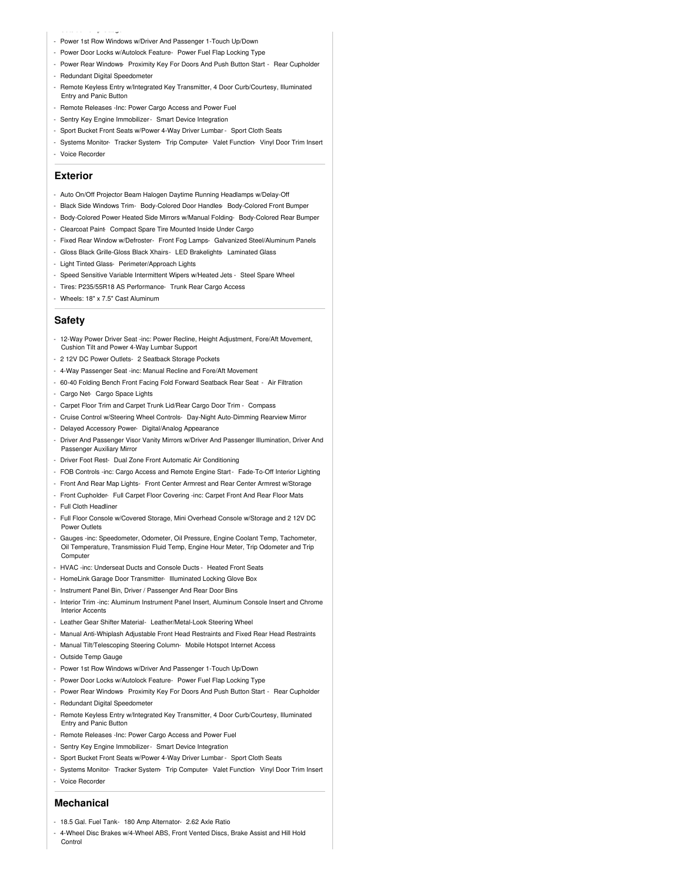- Power 1st Row Windows w/Driver And Passenger 1-Touch Up/Down
- Power Door Locks w/Autolock Feature- Power Fuel Flap Locking Type
- Power Rear Windows- Proximity Key For Doors And Push Button Start Rear Cupholder
- Redundant Digital Speedomete

- Outside Temp Gauge

- Remote Keyless Entry w/Integrated Key Transmitter, 4 Door Curb/Courtesy, Illuminated Entry and Panic Button
- Remote Releases -Inc: Power Cargo Access and Power Fuel
- Sentry Key Engine Immobilizer- Smart Device Integration
- Sport Bucket Front Seats w/Power 4-Way Driver Lumbar Sport Cloth Seats
- Systems Monitor- Tracker System- Trip Computer- Valet Function- Vinyl Door Trim Insert - Voice Recorder

#### **Exterior**

- Auto On/Off Projector Beam Halogen Daytime Running Headlamps w/Delay-Off
- Black Side Windows Trim- Body-Colored Door Handles- Body-Colored Front Bumper
- Body-Colored Power Heated Side Mirrors w/Manual Folding- Body-Colored Rear Bumper
- Clearcoat Paint- Compact Spare Tire Mounted Inside Under Cargo
- Fixed Rear Window w/Defroster- Front Fog Lamps- Galvanized Steel/Aluminum Panels
- Gloss Black Grille-Gloss Black Xhairs- LED Brakelights- Laminated Glass
- Light Tinted Glass- Perimeter/Approach Lights
- Speed Sensitive Variable Intermittent Wipers w/Heated Jets Steel Spare Wheel
- Tires: P235/55R18 AS Performance- Trunk Rear Cargo Access
- Wheels: 18" x 7.5" Cast Aluminum

#### **Safety**

- 12-Way Power Driver Seat -inc: Power Recline, Height Adjustment, Fore/Aft Movement, Cushion Tilt and Power 4-Way Lumbar Support
- 2 12V DC Power Outlets- 2 Seatback Storage Pockets
- 4-Way Passenger Seat -inc: Manual Recline and Fore/Aft Movement
- 60-40 Folding Bench Front Facing Fold Forward Seatback Rear Seat Air Filtration
- Cargo Net- Cargo Space Lights
- Carpet Floor Trim and Carpet Trunk Lid/Rear Cargo Door Trim Compass
- Cruise Control w/Steering Wheel Controls- Day-Night Auto-Dimming Rearview Mirror
- Delayed Accessory Power- Digital/Analog Appearance
- Driver And Passenger Visor Vanity Mirrors w/Driver And Passenger Illumination, Driver And Passenger Auxiliary Mirror
- Driver Foot Rest- Dual Zone Front Automatic Air Conditioning
- FOB Controls -inc: Cargo Access and Remote Engine Start- Fade-To-Off Interior Lighting
- Front And Rear Map Lights- Front Center Armrest and Rear Center Armrest w/Storage
- Front Cupholder- Full Carpet Floor Covering -inc: Carpet Front And Rear Floor Mats
- Full Cloth Headliner
- Full Floor Console w/Covered Storage, Mini Overhead Console w/Storage and 2 12V DC Power Outlets
- Gauges -inc: Speedometer, Odometer, Oil Pressure, Engine Coolant Temp, Tachometer, Oil Temperature, Transmission Fluid Temp, Engine Hour Meter, Trip Odometer and Trip **Computer**
- HVAC -inc: Underseat Ducts and Console Ducts Heated Front Seats
- HomeLink Garage Door Transmitter- Illuminated Locking Glove Box
- Instrument Panel Bin, Driver / Passenger And Rear Door Bins
- Interior Trim -inc: Aluminum Instrument Panel Insert, Aluminum Console Insert and Chrome Interior Accents
- Leather Gear Shifter Material- Leather/Metal-Look Steering Wheel
- Manual Anti-Whiplash Adjustable Front Head Restraints and Fixed Rear Head Restraints
- Manual Tilt/Telescoping Steering Column- Mobile Hotspot Internet Access
- Outside Temp Gauge
- Power 1st Row Windows w/Driver And Passenger 1-Touch Up/Down
- Power Door Locks w/Autolock Feature- Power Fuel Flap Locking Type
- Power Rear Windows- Proximity Key For Doors And Push Button Start Rear Cupholder
- Redundant Digital Speedometer
- Remote Keyless Entry w/Integrated Key Transmitter, 4 Door Curb/Courtesy, Illuminated Entry and Panic Button
- Remote Releases -Inc: Power Cargo Access and Power Fuel
- Sentry Key Engine Immobilizer- Smart Device Integration
- Sport Bucket Front Seats w/Power 4-Way Driver Lumbar Sport Cloth Seats
- Systems Monitor- Tracker System- Trip Computer- Valet Function- Vinyl Door Trim Insert - Voice Recorder

## **Mechanical**

- 18.5 Gal. Fuel Tank- 180 Amp Alternator- 2.62 Axle Ratio
- 4-Wheel Disc Brakes w/4-Wheel ABS, Front Vented Discs, Brake Assist and Hill Hold Control